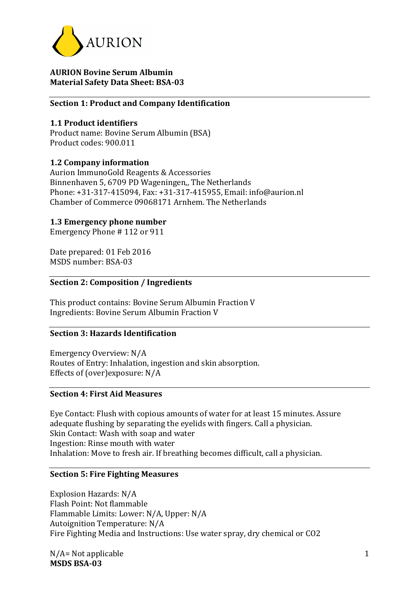

### **AURION Bovine Serum Albumin Material Safety Data Sheet: BSA-03**

### **Section 1: Product and Company Identification**

### **1.1 Product identifiers**

Product name: Bovine Serum Albumin (BSA) Product codes: 900.011

### **1.2 Company information**

Aurion ImmunoGold Reagents & Accessories Binnenhaven 5, 6709 PD Wageningen, The Netherlands Phone: +31-317-415094, Fax: +31-317-415955, Email: info@aurion.nl Chamber of Commerce 09068171 Arnhem. The Netherlands

# **1.3 Emergency phone number**

Emergency Phone # 112 or 911

Date prepared: 01 Feb 2016 MSDS number: BSA-03

# **Section 2: Composition / Ingredients**

This product contains: Bovine Serum Albumin Fraction V Ingredients: Bovine Serum Albumin Fraction V

# **Section 3: Hazards Identification**

Emergency Overview: N/A Routes of Entry: Inhalation, ingestion and skin absorption. Effects of (over)exposure:  $N/A$ 

#### **Section 4: First Aid Measures**

Eye Contact: Flush with copious amounts of water for at least 15 minutes. Assure adequate flushing by separating the eyelids with fingers. Call a physician. Skin Contact: Wash with soap and water Ingestion: Rinse mouth with water Inhalation: Move to fresh air. If breathing becomes difficult, call a physician.

### **Section 5: Fire Fighting Measures**

Explosion Hazards: N/A Flash Point: Not flammable Flammable Limits: Lower: N/A, Upper: N/A Autoignition Temperature: N/A Fire Fighting Media and Instructions: Use water spray, dry chemical or CO2

 $N/A$ = Not applicable **MSDS BSA-03**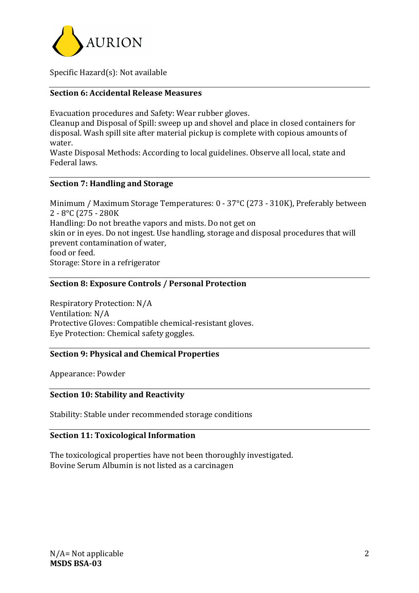

Specific  $Hazard(s)$ : Not available

# **Section 6: Accidental Release Measures**

Evacuation procedures and Safety: Wear rubber gloves.

Cleanup and Disposal of Spill: sweep up and shovel and place in closed containers for disposal. Wash spill site after material pickup is complete with copious amounts of water.

Waste Disposal Methods: According to local guidelines. Observe all local, state and Federal laws.

### **Section 7: Handling and Storage**

Minimum / Maximum Storage Temperatures: 0 - 37°C (273 - 310K), Preferably between 2 - 8°C (275 - 280K Handling: Do not breathe vapors and mists. Do not get on skin or in eyes. Do not ingest. Use handling, storage and disposal procedures that will prevent contamination of water. food or feed. Storage: Store in a refrigerator

### **Section 8: Exposure Controls / Personal Protection**

Respiratory Protection: N/A Ventilation: N/A Protective Gloves: Compatible chemical-resistant gloves. Eye Protection: Chemical safety goggles.

#### **Section 9: Physical and Chemical Properties**

Appearance: Powder

#### **Section 10: Stability and Reactivity**

Stability: Stable under recommended storage conditions

# **Section 11: Toxicological Information**

The toxicological properties have not been thoroughly investigated. Bovine Serum Albumin is not listed as a carcinagen